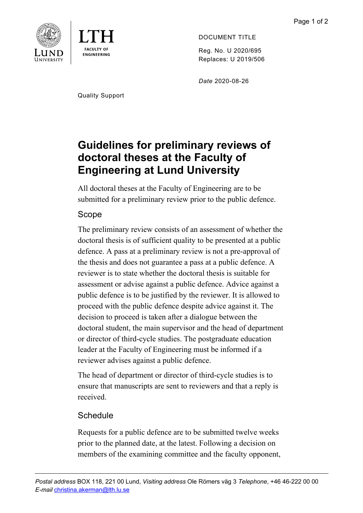



DOCUMENT TITLE

Reg. No. U 2020/695 Replaces: U 2019/506

*Date* 2020-08-26

Quality Support

# **Guidelines for preliminary reviews of doctoral theses at the Faculty of Engineering at Lund University**

All doctoral theses at the Faculty of Engineering are to be submitted for a preliminary review prior to the public defence.

## Scope

The preliminary review consists of an assessment of whether the doctoral thesis is of sufficient quality to be presented at a public defence. A pass at a preliminary review is not a pre-approval of the thesis and does not guarantee a pass at a public defence. A reviewer is to state whether the doctoral thesis is suitable for assessment or advise against a public defence. Advice against a public defence is to be justified by the reviewer. It is allowed to proceed with the public defence despite advice against it. The decision to proceed is taken after a dialogue between the doctoral student, the main supervisor and the head of department or director of third-cycle studies. The postgraduate education leader at the Faculty of Engineering must be informed if a reviewer advises against a public defence.

The head of department or director of third-cycle studies is to ensure that manuscripts are sent to reviewers and that a reply is received.

## **Schedule**

Requests for a public defence are to be submitted twelve weeks prior to the planned date, at the latest. Following a decision on members of the examining committee and the faculty opponent,